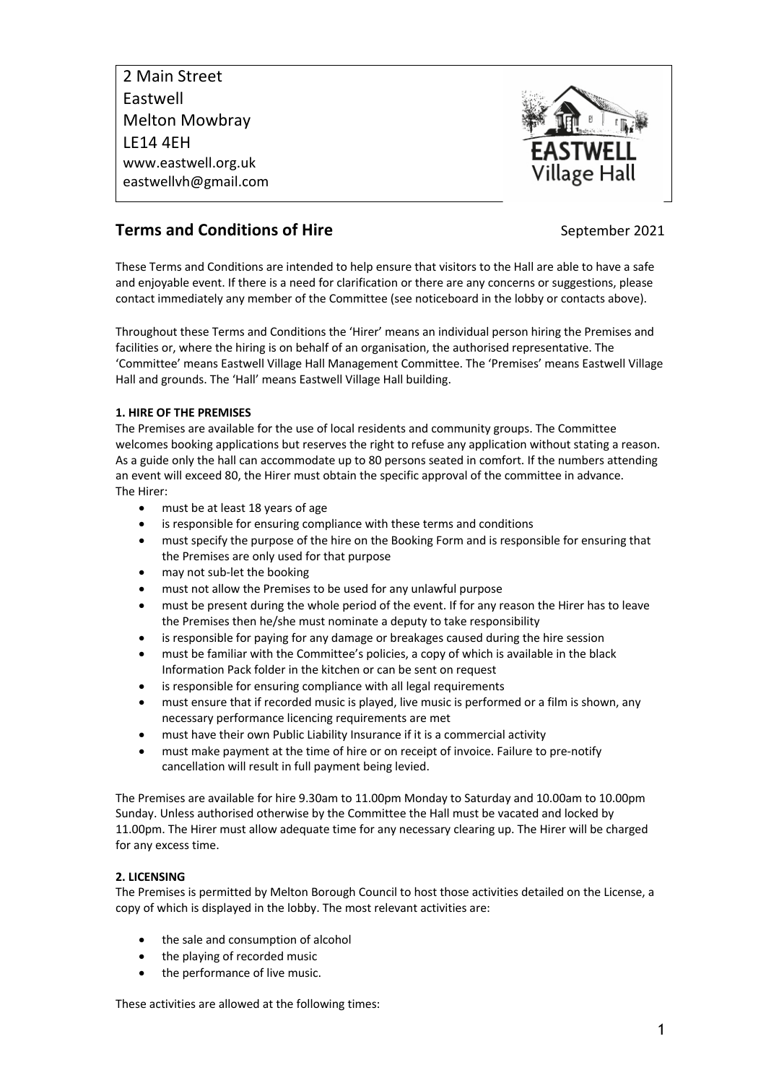2 Main Street Eastwell Melton Mowbray LE14 4EH www.eastwell.org.uk eastwellvh@gmail.com



# **Terms and Conditions of Hire September 2021**

These Terms and Conditions are intended to help ensure that visitors to the Hall are able to have a safe and enjoyable event. If there is a need for clarification or there are any concerns or suggestions, please contact immediately any member of the Committee (see noticeboard in the lobby or contacts above).

Throughout these Terms and Conditions the 'Hirer' means an individual person hiring the Premises and facilities or, where the hiring is on behalf of an organisation, the authorised representative. The 'Committee' means Eastwell Village Hall Management Committee. The 'Premises' means Eastwell Village Hall and grounds. The 'Hall' means Eastwell Village Hall building.

## **1. HIRE OF THE PREMISES**

The Premises are available for the use of local residents and community groups. The Committee welcomes booking applications but reserves the right to refuse any application without stating a reason. As a guide only the hall can accommodate up to 80 persons seated in comfort. If the numbers attending an event will exceed 80, the Hirer must obtain the specific approval of the committee in advance. The Hirer:

- must be at least 18 years of age
- is responsible for ensuring compliance with these terms and conditions
- must specify the purpose of the hire on the Booking Form and is responsible for ensuring that the Premises are only used for that purpose
- may not sub-let the booking
- must not allow the Premises to be used for any unlawful purpose
- must be present during the whole period of the event. If for any reason the Hirer has to leave the Premises then he/she must nominate a deputy to take responsibility
- is responsible for paying for any damage or breakages caused during the hire session
- must be familiar with the Committee's policies, a copy of which is available in the black Information Pack folder in the kitchen or can be sent on request
- is responsible for ensuring compliance with all legal requirements
- must ensure that if recorded music is played, live music is performed or a film is shown, any necessary performance licencing requirements are met
- must have their own Public Liability Insurance if it is a commercial activity
- must make payment at the time of hire or on receipt of invoice. Failure to pre-notify cancellation will result in full payment being levied.

The Premises are available for hire 9.30am to 11.00pm Monday to Saturday and 10.00am to 10.00pm Sunday. Unless authorised otherwise by the Committee the Hall must be vacated and locked by 11.00pm. The Hirer must allow adequate time for any necessary clearing up. The Hirer will be charged for any excess time.

# **2. LICENSING**

The Premises is permitted by Melton Borough Council to host those activities detailed on the License, a copy of which is displayed in the lobby. The most relevant activities are:

- the sale and consumption of alcohol
- the playing of recorded music
- the performance of live music.

These activities are allowed at the following times: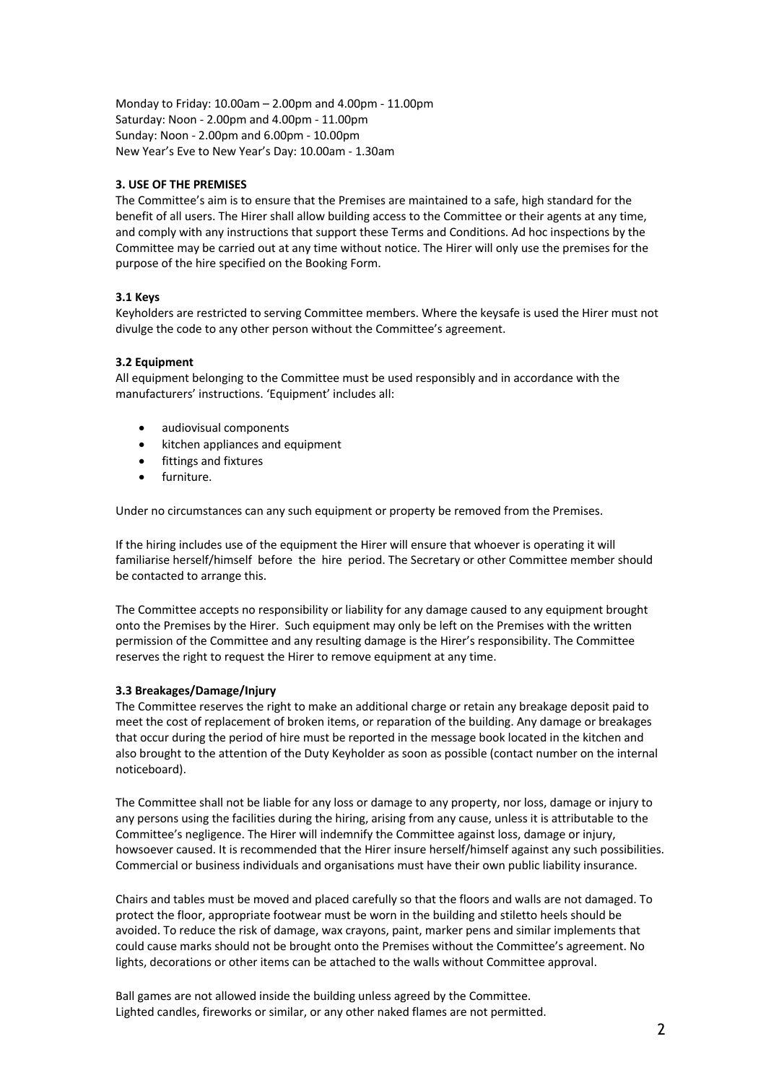Monday to Friday: 10.00am – 2.00pm and 4.00pm - 11.00pm Saturday: Noon - 2.00pm and 4.00pm - 11.00pm Sunday: Noon - 2.00pm and 6.00pm - 10.00pm New Year's Eve to New Year's Day: 10.00am - 1.30am

## **3. USE OF THE PREMISES**

The Committee's aim is to ensure that the Premises are maintained to a safe, high standard for the benefit of all users. The Hirer shall allow building access to the Committee or their agents at any time, and comply with any instructions that support these Terms and Conditions. Ad hoc inspections by the Committee may be carried out at any time without notice. The Hirer will only use the premises for the purpose of the hire specified on the Booking Form.

## **3.1 Keys**

Keyholders are restricted to serving Committee members. Where the keysafe is used the Hirer must not divulge the code to any other person without the Committee's agreement.

## **3.2 Equipment**

All equipment belonging to the Committee must be used responsibly and in accordance with the manufacturers' instructions. 'Equipment' includes all:

- audiovisual components
- kitchen appliances and equipment
- fittings and fixtures
- furniture.

Under no circumstances can any such equipment or property be removed from the Premises.

If the hiring includes use of the equipment the Hirer will ensure that whoever is operating it will familiarise herself/himself before the hire period. The Secretary or other Committee member should be contacted to arrange this.

The Committee accepts no responsibility or liability for any damage caused to any equipment brought onto the Premises by the Hirer. Such equipment may only be left on the Premises with the written permission of the Committee and any resulting damage is the Hirer's responsibility. The Committee reserves the right to request the Hirer to remove equipment at any time.

## **3.3 Breakages/Damage/Injury**

The Committee reserves the right to make an additional charge or retain any breakage deposit paid to meet the cost of replacement of broken items, or reparation of the building. Any damage or breakages that occur during the period of hire must be reported in the message book located in the kitchen and also brought to the attention of the Duty Keyholder as soon as possible (contact number on the internal noticeboard).

The Committee shall not be liable for any loss or damage to any property, nor loss, damage or injury to any persons using the facilities during the hiring, arising from any cause, unless it is attributable to the Committee's negligence. The Hirer will indemnify the Committee against loss, damage or injury, howsoever caused. It is recommended that the Hirer insure herself/himself against any such possibilities. Commercial or business individuals and organisations must have their own public liability insurance.

Chairs and tables must be moved and placed carefully so that the floors and walls are not damaged. To protect the floor, appropriate footwear must be worn in the building and stiletto heels should be avoided. To reduce the risk of damage, wax crayons, paint, marker pens and similar implements that could cause marks should not be brought onto the Premises without the Committee's agreement. No lights, decorations or other items can be attached to the walls without Committee approval.

Ball games are not allowed inside the building unless agreed by the Committee. Lighted candles, fireworks or similar, or any other naked flames are not permitted.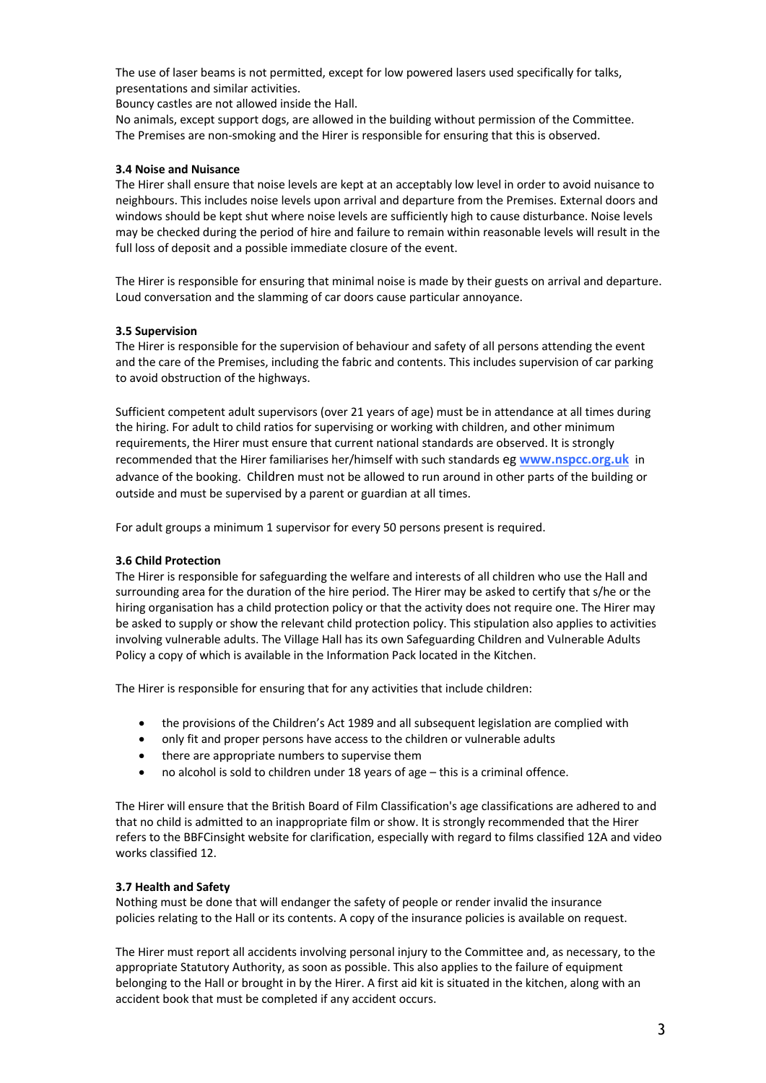The use of laser beams is not permitted, except for low powered lasers used specifically for talks, presentations and similar activities.

Bouncy castles are not allowed inside the Hall.

No animals, except support dogs, are allowed in the building without permission of the Committee. The Premises are non-smoking and the Hirer is responsible for ensuring that this is observed.

#### **3.4 Noise and Nuisance**

The Hirer shall ensure that noise levels are kept at an acceptably low level in order to avoid nuisance to neighbours. This includes noise levels upon arrival and departure from the Premises. External doors and windows should be kept shut where noise levels are sufficiently high to cause disturbance. Noise levels may be checked during the period of hire and failure to remain within reasonable levels will result in the full loss of deposit and a possible immediate closure of the event.

The Hirer is responsible for ensuring that minimal noise is made by their guests on arrival and departure. Loud conversation and the slamming of car doors cause particular annoyance.

#### **3.5 Supervision**

The Hirer is responsible for the supervision of behaviour and safety of all persons attending the event and the care of the Premises, including the fabric and contents. This includes supervision of car parking to avoid obstruction of the highways.

Sufficient competent adult supervisors (over 21 years of age) must be in attendance at all times during the hiring. For adult to child ratios for supervising or working with children, and other minimum requirements, the Hirer must ensure that current national standards are observed. It is strongly recommended that the Hirer familiarises her/himself with such standards eg **www.nspcc.org.uk** in advance of the booking. Children must not be allowed to run around in other parts of the building or outside and must be supervised by a parent or guardian at all times.

For adult groups a minimum 1 supervisor for every 50 persons present is required.

## **3.6 Child Protection**

The Hirer is responsible for safeguarding the welfare and interests of all children who use the Hall and surrounding area for the duration of the hire period. The Hirer may be asked to certify that s/he or the hiring organisation has a child protection policy or that the activity does not require one. The Hirer may be asked to supply or show the relevant child protection policy. This stipulation also applies to activities involving vulnerable adults. The Village Hall has its own Safeguarding Children and Vulnerable Adults Policy a copy of which is available in the Information Pack located in the Kitchen.

The Hirer is responsible for ensuring that for any activities that include children:

- the provisions of the Children's Act 1989 and all subsequent legislation are complied with
- only fit and proper persons have access to the children or vulnerable adults
- there are appropriate numbers to supervise them
- no alcohol is sold to children under 18 years of age this is a criminal offence.

The Hirer will ensure that the British Board of Film Classification's age classifications are adhered to and that no child is admitted to an inappropriate film or show. It is strongly recommended that the Hirer refers to the BBFCinsight website for clarification, especially with regard to films classified 12A and video works classified 12.

## **3.7 Health and Safety**

Nothing must be done that will endanger the safety of people or render invalid the insurance policies relating to the Hall or its contents. A copy of the insurance policies is available on request.

The Hirer must report all accidents involving personal injury to the Committee and, as necessary, to the appropriate Statutory Authority, as soon as possible. This also applies to the failure of equipment belonging to the Hall or brought in by the Hirer. A first aid kit is situated in the kitchen, along with an accident book that must be completed if any accident occurs.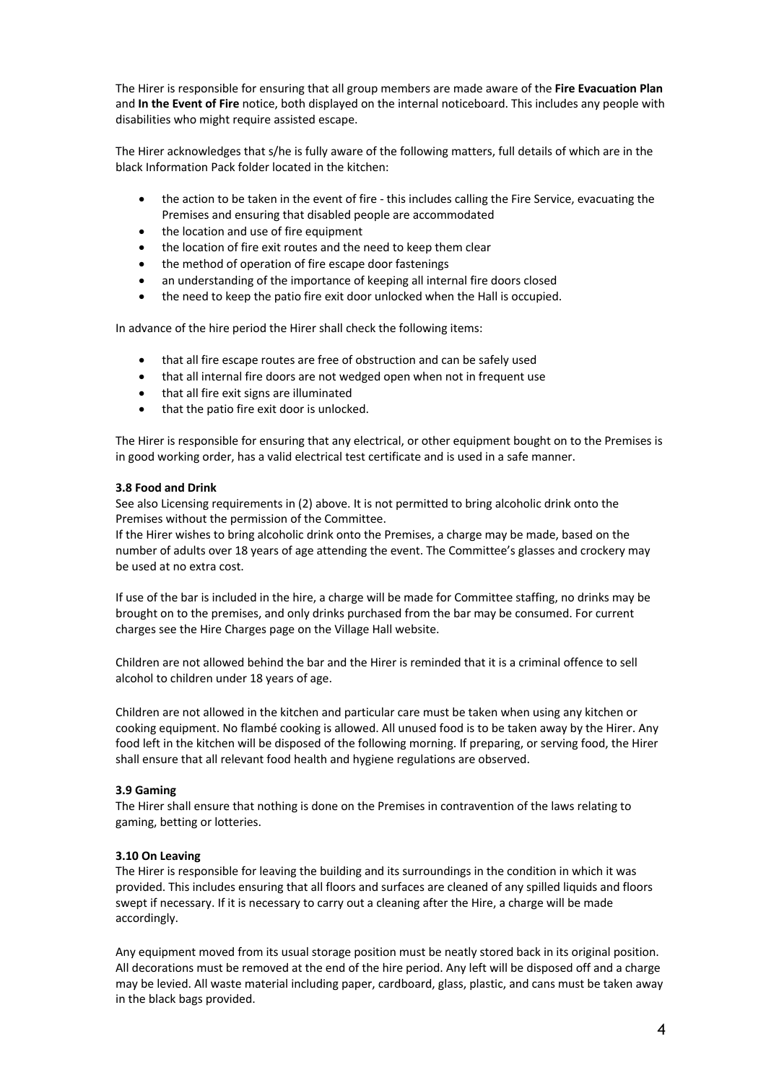The Hirer is responsible for ensuring that all group members are made aware of the **Fire Evacuation Plan** and **In the Event of Fire** notice, both displayed on the internal noticeboard. This includes any people with disabilities who might require assisted escape.

The Hirer acknowledges that s/he is fully aware of the following matters, full details of which are in the black Information Pack folder located in the kitchen:

- the action to be taken in the event of fire this includes calling the Fire Service, evacuating the Premises and ensuring that disabled people are accommodated
- the location and use of fire equipment
- the location of fire exit routes and the need to keep them clear
- the method of operation of fire escape door fastenings
- an understanding of the importance of keeping all internal fire doors closed
- the need to keep the patio fire exit door unlocked when the Hall is occupied.

In advance of the hire period the Hirer shall check the following items:

- that all fire escape routes are free of obstruction and can be safely used
- that all internal fire doors are not wedged open when not in frequent use
- that all fire exit signs are illuminated
- that the patio fire exit door is unlocked.

The Hirer is responsible for ensuring that any electrical, or other equipment bought on to the Premises is in good working order, has a valid electrical test certificate and is used in a safe manner.

## **3.8 Food and Drink**

See also Licensing requirements in (2) above. It is not permitted to bring alcoholic drink onto the Premises without the permission of the Committee.

If the Hirer wishes to bring alcoholic drink onto the Premises, a charge may be made, based on the number of adults over 18 years of age attending the event. The Committee's glasses and crockery may be used at no extra cost.

If use of the bar is included in the hire, a charge will be made for Committee staffing, no drinks may be brought on to the premises, and only drinks purchased from the bar may be consumed. For current charges see the Hire Charges page on the Village Hall website.

Children are not allowed behind the bar and the Hirer is reminded that it is a criminal offence to sell alcohol to children under 18 years of age.

Children are not allowed in the kitchen and particular care must be taken when using any kitchen or cooking equipment. No flambé cooking is allowed. All unused food is to be taken away by the Hirer. Any food left in the kitchen will be disposed of the following morning. If preparing, or serving food, the Hirer shall ensure that all relevant food health and hygiene regulations are observed.

## **3.9 Gaming**

The Hirer shall ensure that nothing is done on the Premises in contravention of the laws relating to gaming, betting or lotteries.

## **3.10 On Leaving**

The Hirer is responsible for leaving the building and its surroundings in the condition in which it was provided. This includes ensuring that all floors and surfaces are cleaned of any spilled liquids and floors swept if necessary. If it is necessary to carry out a cleaning after the Hire, a charge will be made accordingly.

Any equipment moved from its usual storage position must be neatly stored back in its original position. All decorations must be removed at the end of the hire period. Any left will be disposed off and a charge may be levied. All waste material including paper, cardboard, glass, plastic, and cans must be taken away in the black bags provided.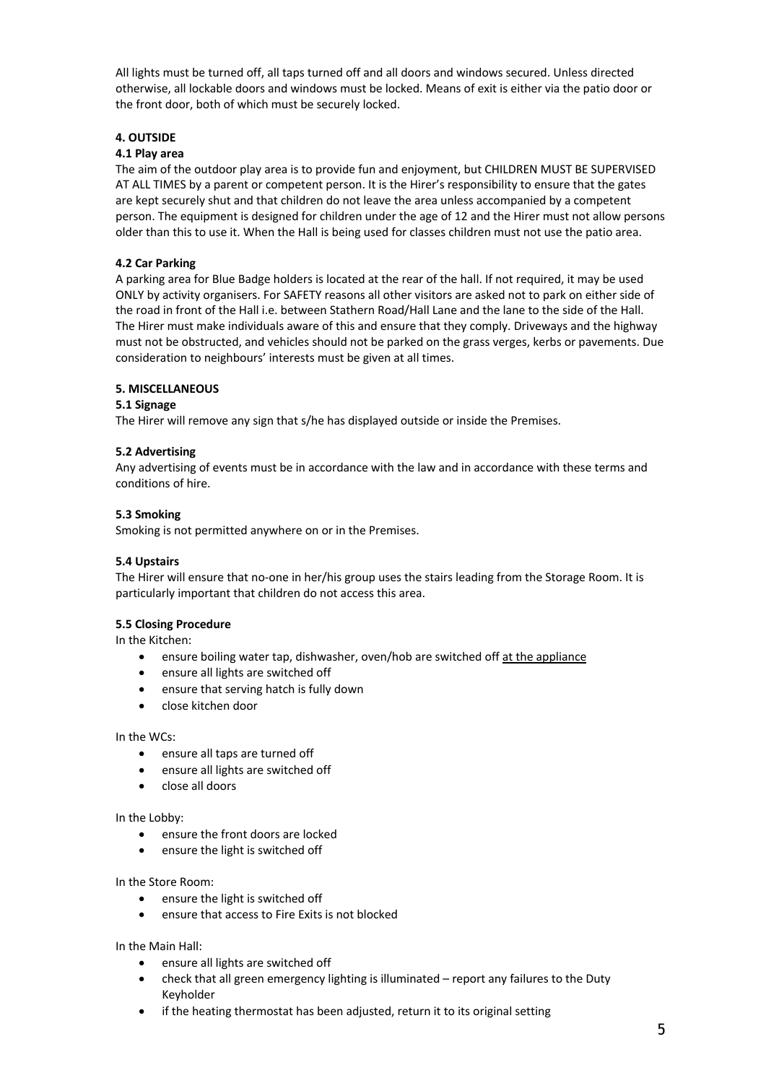All lights must be turned off, all taps turned off and all doors and windows secured. Unless directed otherwise, all lockable doors and windows must be locked. Means of exit is either via the patio door or the front door, both of which must be securely locked.

## **4. OUTSIDE**

## **4.1 Play area**

The aim of the outdoor play area is to provide fun and enjoyment, but CHILDREN MUST BE SUPERVISED AT ALL TIMES by a parent or competent person. It is the Hirer's responsibility to ensure that the gates are kept securely shut and that children do not leave the area unless accompanied by a competent person. The equipment is designed for children under the age of 12 and the Hirer must not allow persons older than this to use it. When the Hall is being used for classes children must not use the patio area.

## **4.2 Car Parking**

A parking area for Blue Badge holders is located at the rear of the hall. If not required, it may be used ONLY by activity organisers. For SAFETY reasons all other visitors are asked not to park on either side of the road in front of the Hall i.e. between Stathern Road/Hall Lane and the lane to the side of the Hall. The Hirer must make individuals aware of this and ensure that they comply. Driveways and the highway must not be obstructed, and vehicles should not be parked on the grass verges, kerbs or pavements. Due consideration to neighbours' interests must be given at all times.

## **5. MISCELLANEOUS**

## **5.1 Signage**

The Hirer will remove any sign that s/he has displayed outside or inside the Premises.

## **5.2 Advertising**

Any advertising of events must be in accordance with the law and in accordance with these terms and conditions of hire.

## **5.3 Smoking**

Smoking is not permitted anywhere on or in the Premises.

## **5.4 Upstairs**

The Hirer will ensure that no-one in her/his group uses the stairs leading from the Storage Room. It is particularly important that children do not access this area.

## **5.5 Closing Procedure**

In the Kitchen:

- ensure boiling water tap, dishwasher, oven/hob are switched off at the appliance
- ensure all lights are switched off
- ensure that serving hatch is fully down
- close kitchen door

## In the WCs:

- ensure all taps are turned off
- ensure all lights are switched off
- close all doors

## In the Lobby:

- ensure the front doors are locked
- ensure the light is switched off

## In the Store Room:

- ensure the light is switched off
- ensure that access to Fire Exits is not blocked

## In the Main Hall:

- ensure all lights are switched off
- check that all green emergency lighting is illuminated report any failures to the Duty Keyholder
- if the heating thermostat has been adjusted, return it to its original setting